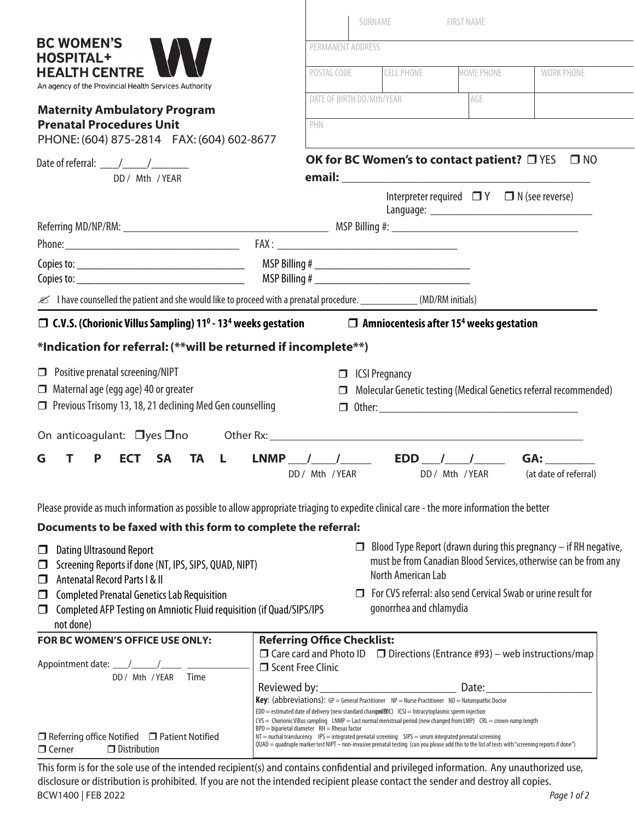|                                                                                                                                                                                                                                                                                  |                                                                                                                                                                                                                                                                            | SURNAME<br><b>FIRST NAME</b>                                                                                                                                                                            |                         |                                                    |                                                                   |  |
|----------------------------------------------------------------------------------------------------------------------------------------------------------------------------------------------------------------------------------------------------------------------------------|----------------------------------------------------------------------------------------------------------------------------------------------------------------------------------------------------------------------------------------------------------------------------|---------------------------------------------------------------------------------------------------------------------------------------------------------------------------------------------------------|-------------------------|----------------------------------------------------|-------------------------------------------------------------------|--|
| <b>BC WOMEN'S</b>                                                                                                                                                                                                                                                                | PERMANENT ADDRESS                                                                                                                                                                                                                                                          |                                                                                                                                                                                                         |                         |                                                    |                                                                   |  |
| <b>HOSPITAL+</b><br><b>HEALTH CENTRE</b><br>An agency of the Provincial Health Services Authority                                                                                                                                                                                | POSTAL CODE                                                                                                                                                                                                                                                                |                                                                                                                                                                                                         | <b>CELL PHONE</b>       | HOME PHONE                                         | <b>WORK PHONE</b>                                                 |  |
| <b>Maternity Ambulatory Program</b>                                                                                                                                                                                                                                              |                                                                                                                                                                                                                                                                            | DATE OF BIRTH DD/Mth/YEAR<br>AGE                                                                                                                                                                        |                         |                                                    |                                                                   |  |
| <b>Prenatal Procedures Unit</b><br>PHONE: (604) 875-2814 FAX: (604) 602-8677                                                                                                                                                                                                     | PHN                                                                                                                                                                                                                                                                        |                                                                                                                                                                                                         |                         |                                                    |                                                                   |  |
| Date of referral: $\frac{1}{\sqrt{2}}$<br>DD/ Mth / YEAR                                                                                                                                                                                                                         | <b>OK for BC Women's to contact patient?</b> □ YES<br>$\square$ NO                                                                                                                                                                                                         |                                                                                                                                                                                                         |                         |                                                    |                                                                   |  |
|                                                                                                                                                                                                                                                                                  |                                                                                                                                                                                                                                                                            |                                                                                                                                                                                                         |                         | Interpreter required $\Box Y \Box N$ (see reverse) |                                                                   |  |
|                                                                                                                                                                                                                                                                                  |                                                                                                                                                                                                                                                                            |                                                                                                                                                                                                         |                         |                                                    |                                                                   |  |
|                                                                                                                                                                                                                                                                                  |                                                                                                                                                                                                                                                                            |                                                                                                                                                                                                         |                         |                                                    |                                                                   |  |
|                                                                                                                                                                                                                                                                                  |                                                                                                                                                                                                                                                                            |                                                                                                                                                                                                         |                         |                                                    |                                                                   |  |
|                                                                                                                                                                                                                                                                                  |                                                                                                                                                                                                                                                                            |                                                                                                                                                                                                         |                         |                                                    |                                                                   |  |
| ■ I have counselled the patient and she would like to proceed with a prenatal procedure. _____________(MD/RM initials)<br>$\Box$ C.V.S. (Chorionic Villus Sampling) 11 <sup>0</sup> - 13 <sup>4</sup> weeks gestation $\Box$ Amniocentesis after 15 <sup>4</sup> weeks gestation |                                                                                                                                                                                                                                                                            |                                                                                                                                                                                                         |                         |                                                    |                                                                   |  |
|                                                                                                                                                                                                                                                                                  |                                                                                                                                                                                                                                                                            |                                                                                                                                                                                                         |                         |                                                    |                                                                   |  |
| *Indication for referral: (**will be returned if incomplete**)                                                                                                                                                                                                                   |                                                                                                                                                                                                                                                                            |                                                                                                                                                                                                         |                         |                                                    |                                                                   |  |
| $\Box$ Positive prenatal screening/NIPT<br>$\Box$ ICSI Pregnancy                                                                                                                                                                                                                 |                                                                                                                                                                                                                                                                            |                                                                                                                                                                                                         |                         |                                                    |                                                                   |  |
| $\Box$ Maternal age (egg age) 40 or greater                                                                                                                                                                                                                                      | П                                                                                                                                                                                                                                                                          |                                                                                                                                                                                                         |                         |                                                    | Molecular Genetic testing (Medical Genetics referral recommended) |  |
| Previous Trisomy 13, 18, 21 declining Med Gen counselling                                                                                                                                                                                                                        |                                                                                                                                                                                                                                                                            |                                                                                                                                                                                                         |                         |                                                    |                                                                   |  |
| On anticoagulant: $\Box$ yes $\Box$ no                                                                                                                                                                                                                                           |                                                                                                                                                                                                                                                                            |                                                                                                                                                                                                         |                         |                                                    |                                                                   |  |
| <b>ECT</b><br><b>SA</b><br><b>TA</b><br>G<br>P<br>L.<br>т                                                                                                                                                                                                                        | $\begin{tabular}{c c c} \hline LNNP & // & // \\ \hline \end{tabular} \begin{tabular}{c} \hline \end{tabular} \begin{tabular}{c} \multicolumn{1}{c}{} & \multicolumn{1}{c}{} & \multicolumn{1}{c}{} & \multicolumn{1}{c}{} & \multicolumn{1}{c}{} \\ \hline \end{tabular}$ |                                                                                                                                                                                                         |                         |                                                    | GA:                                                               |  |
|                                                                                                                                                                                                                                                                                  | DD / Mth / YEAR                                                                                                                                                                                                                                                            |                                                                                                                                                                                                         |                         | DD / Mth / YEAR                                    | (at date of referral)                                             |  |
|                                                                                                                                                                                                                                                                                  |                                                                                                                                                                                                                                                                            |                                                                                                                                                                                                         |                         |                                                    |                                                                   |  |
| Please provide as much information as possible to allow appropriate triaging to expedite clinical care - the more information the better                                                                                                                                         |                                                                                                                                                                                                                                                                            |                                                                                                                                                                                                         |                         |                                                    |                                                                   |  |
| Documents to be faxed with this form to complete the referral:                                                                                                                                                                                                                   |                                                                                                                                                                                                                                                                            |                                                                                                                                                                                                         |                         |                                                    |                                                                   |  |
| Blood Type Report (drawn during this pregnancy $-$ if RH negative,<br><b>Dating Ultrasound Report</b><br>□<br>must be from Canadian Blood Services, otherwise can be from any<br>Screening Reports if done (NT, IPS, SIPS, QUAD, NIPT)<br>$\Box$                                 |                                                                                                                                                                                                                                                                            |                                                                                                                                                                                                         |                         |                                                    |                                                                   |  |
| North American Lab<br>Antenatal Record Parts   & II<br>⊔<br>$\Box$ For CVS referral: also send Cervical Swab or urine result for                                                                                                                                                 |                                                                                                                                                                                                                                                                            |                                                                                                                                                                                                         |                         |                                                    |                                                                   |  |
| <b>Completed Prenatal Genetics Lab Requisition</b><br>⊔<br>Completed AFP Testing on Amniotic Fluid requisition (if Quad/SIPS/IPS<br>$\Box$<br>not done)                                                                                                                          |                                                                                                                                                                                                                                                                            |                                                                                                                                                                                                         | gonorrhea and chlamydia |                                                    |                                                                   |  |
| FOR BC WOMEN'S OFFICE USE ONLY:                                                                                                                                                                                                                                                  | <b>Referring Office Checklist:</b>                                                                                                                                                                                                                                         |                                                                                                                                                                                                         |                         |                                                    |                                                                   |  |
| DD / Mth / YEAR<br>Time                                                                                                                                                                                                                                                          | □ Scent Free Clinic                                                                                                                                                                                                                                                        | $\Box$ Care card and Photo ID $\Box$ Directions (Entrance #93) – web instructions/map                                                                                                                   |                         |                                                    |                                                                   |  |
|                                                                                                                                                                                                                                                                                  | Reviewed by:                                                                                                                                                                                                                                                               | Date: $\_\_$                                                                                                                                                                                            |                         |                                                    |                                                                   |  |
|                                                                                                                                                                                                                                                                                  |                                                                                                                                                                                                                                                                            | Key: (abbreviations): GP = General Practitioner NP = Nurse Practitioner ND = Naturopathic Doctor<br>EDD = estimated date of delivery (new standard changed EDC) ICSI = Intracytoplasmic sperm injection |                         |                                                    |                                                                   |  |
| $CVS =$ Chorionic Villus sampling LNMP = Last normal menstrual period (new changed from LMP) CRL = crown-rump length<br>$BPD = biparietal$ diameter $RH = R$ hesus factor                                                                                                        |                                                                                                                                                                                                                                                                            |                                                                                                                                                                                                         |                         |                                                    |                                                                   |  |
| $\Box$ Referring office Notified $\Box$ Patient Notified<br>$\Box$ Cerner<br>$\Box$ Distribution                                                                                                                                                                                 | $NT =$ nuchal translucency IPS = integrated prenatal screening SIPS = serum integrated prenatal screening<br>QUAD = quadruple marker test NIPT - non-invasive prenatal testing (can you please add this to the list of tests with "screening reports if done")             |                                                                                                                                                                                                         |                         |                                                    |                                                                   |  |

This form is for the sole use of the intended recipient(s) and contains confidential and privileged information. Any unauthorized use, disclosure or distribution is prohibited. If you are not the intended recipient please contact the sender and destroy all copies. *Page 1 of 2*